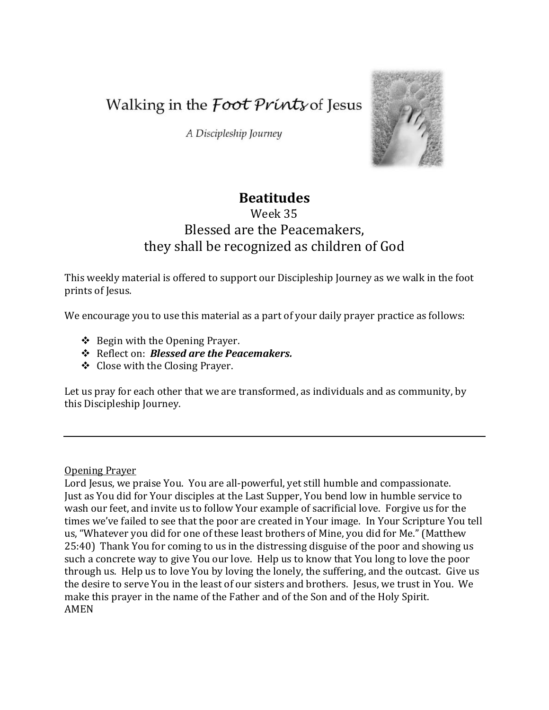Walking in the *Foot Prints* of Jesus

A Discipleship Journey



# **Beatitudes**

# Week 35 Blessed are the Peacemakers, they shall be recognized as children of God

This weekly material is offered to support our Discipleship Journey as we walk in the foot prints of Jesus.

We encourage you to use this material as a part of your daily prayer practice as follows:

- $\triangle$  Begin with the Opening Prayer.
- Reflect on: *Blessed are the Peacemakers.*
- Close with the Closing Prayer.

Let us pray for each other that we are transformed, as individuals and as community, by this Discipleship Journey.

#### Opening Prayer

Lord Jesus, we praise You. You are all-powerful, yet still humble and compassionate. Just as You did for Your disciples at the Last Supper, You bend low in humble service to wash our feet, and invite us to follow Your example of sacrificial love. Forgive us for the times we've failed to see that the poor are created in Your image. In Your Scripture You tell us, "Whatever you did for one of these least brothers of Mine, you did for Me." (Matthew 25:40) Thank You for coming to us in the distressing disguise of the poor and showing us such a concrete way to give You our love. Help us to know that You long to love the poor through us. Help us to love You by loving the lonely, the suffering, and the outcast. Give us the desire to serve You in the least of our sisters and brothers. Jesus, we trust in You. We make this prayer in the name of the Father and of the Son and of the Holy Spirit. AMEN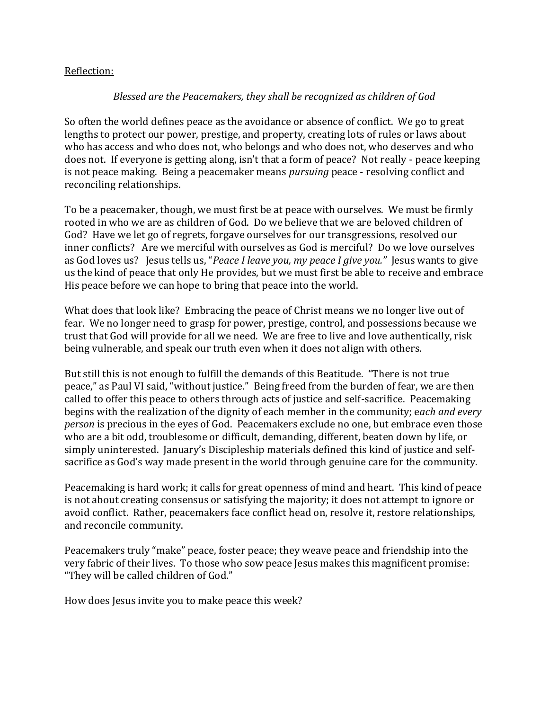### Reflection:

## *Blessed are the Peacemakers, they shall be recognized as children of God*

So often the world defines peace as the avoidance or absence of conflict. We go to great lengths to protect our power, prestige, and property, creating lots of rules or laws about who has access and who does not, who belongs and who does not, who deserves and who does not. If everyone is getting along, isn't that a form of peace? Not really - peace keeping is not peace making. Being a peacemaker means *pursuing* peace - resolving conflict and reconciling relationships.

To be a peacemaker, though, we must first be at peace with ourselves. We must be firmly rooted in who we are as children of God. Do we believe that we are beloved children of God? Have we let go of regrets, forgave ourselves for our transgressions, resolved our inner conflicts? Are we merciful with ourselves as God is merciful? Do we love ourselves as God loves us? Jesus tells us, "*Peace I leave you, my peace I give you."* Jesus wants to give us the kind of peace that only He provides, but we must first be able to receive and embrace His peace before we can hope to bring that peace into the world.

What does that look like? Embracing the peace of Christ means we no longer live out of fear. We no longer need to grasp for power, prestige, control, and possessions because we trust that God will provide for all we need. We are free to live and love authentically, risk being vulnerable, and speak our truth even when it does not align with others.

But still this is not enough to fulfill the demands of this Beatitude. "There is not true peace," as Paul VI said, "without justice." Being freed from the burden of fear, we are then called to offer this peace to others through acts of justice and self-sacrifice. Peacemaking begins with the realization of the dignity of each member in the community; e*ach and every person* is precious in the eyes of God. Peacemakers exclude no one, but embrace even those who are a bit odd, troublesome or difficult, demanding, different, beaten down by life, or simply uninterested. January's Discipleship materials defined this kind of justice and selfsacrifice as God's way made present in the world through genuine care for the community.

Peacemaking is hard work; it calls for great openness of mind and heart. This kind of peace is not about creating consensus or satisfying the majority; it does not attempt to ignore or avoid conflict. Rather, peacemakers face conflict head on, resolve it, restore relationships, and reconcile community.

Peacemakers truly "make" peace, foster peace; they weave peace and friendship into the very fabric of their lives. To those who sow peace Jesus makes this magnificent promise: "They will be called children of God."

How does Jesus invite you to make peace this week?